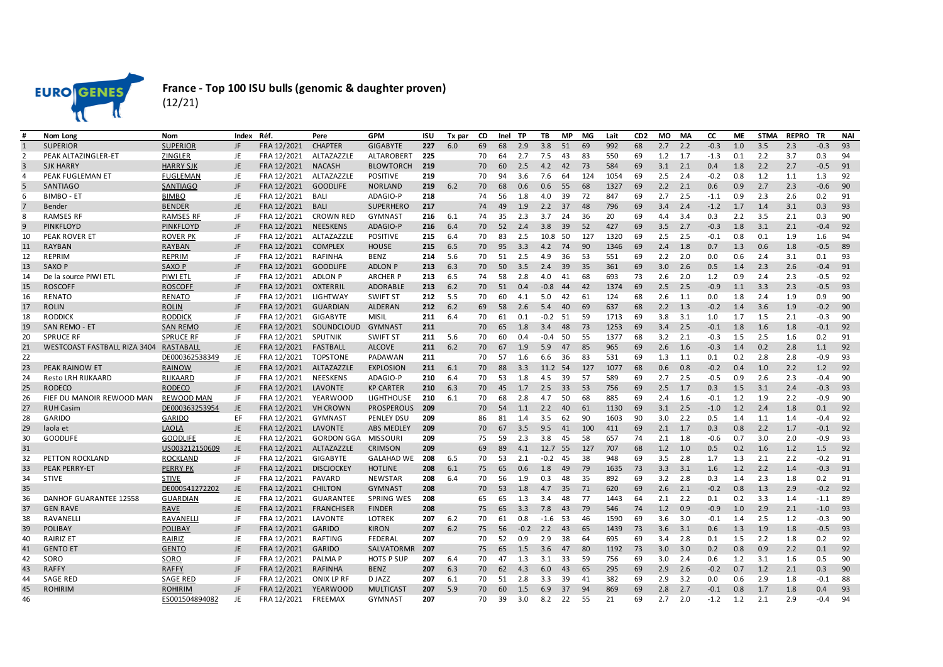

## **France - Top 100 ISU bulls (genomic & daughter proven)** (12/21)

| #              | Nom Long                     | <b>Nom</b>                      | Index     | Réf.                       | Pere               | <b>GPM</b>                      | ISU        | Tx par | CD       | Inel     | TP         | TB         | <b>MP</b> | MG        | Lait       | CD <sub>2</sub> | <b>MO</b>  | <b>MA</b>  | <b>CC</b>  | ME         | <b>STMA</b> | <b>REPRO</b> | <b>TR</b>        | <b>NAI</b> |
|----------------|------------------------------|---------------------------------|-----------|----------------------------|--------------------|---------------------------------|------------|--------|----------|----------|------------|------------|-----------|-----------|------------|-----------------|------------|------------|------------|------------|-------------|--------------|------------------|------------|
| 1              | <b>SUPERIOR</b>              | <b>SUPERIOR</b>                 | JF        | FRA 12/2021                | <b>CHAPTER</b>     | <b>GIGABYTE</b>                 | 227        | 6.0    | 69       | 68       | 2.9        | 3.8        | 51        | 69        | 992        | 68              | 2.7        | 2.2        | $-0.3$     | 1.0        | 3.5         | 2.3          | $-0.3$           | 93         |
| 2              | PEAK ALTAZINGLER-ET          | ZINGLER                         | JE        | FRA 12/2021                | ALTAZAZZLE         | <b>ALTAROBERT</b>               | 225        |        | 70       | 64       | 2.7        | 7.5        | 43        | 83        | 550        | 69              | 1.2        | 1.7        | $-1.3$     | 0.1        | 2.2         | 3.7          | 0.3              | 94         |
| 3              | <b>SJK HARRY</b>             | <b>HARRY SJK</b>                | JE        | FRA 12/2021                | <b>NACASH</b>      | <b>BLOWTORCH</b>                | 219        |        | 70       | 60       | 2.5        | 4.2        | 42        | 73        | 584        | 69              | 3.1        | 2.1        | 0.4        | 1.8        | 2.2         | 2.7          | $-0.5$           | 91         |
| 4              | PEAK FUGLEMAN ET             | FUGLEMAN                        | JE        | FRA 12/2021                | ALTAZAZZLE         | <b>POSITIVE</b>                 | 219        |        | 70       | 94       | 3.6        | 7.6        | 64        | 124       | 1054       | 69              | 2.5        | 2.4        | $-0.2$     | 0.8        | 1.2         | 1.1          | 1.3              | 92         |
| 5              | <b>SANTIAGO</b>              | <b>SANTIAGO</b>                 | JF        | FRA 12/2021                | <b>GOODLIFE</b>    | <b>NORLAND</b>                  | 219        | 6.2    | 70       | 68       | 0.6        | 0.6        | 55        | 68        | 1327       | 69              | 2.2        | 2.1        | 0.6        | 0.9        | 2.7         | 2.3          | $-0.6$           | 90         |
| 6              | <b>BIMBO - ET</b>            | <b>BIMBO</b>                    | JE        | FRA 12/2021                | BALI               | ADAGIO-P                        | 218        |        | 74       | 56       | 1.8        | 4.0        | 39        | 72        | 847        | 69              | 2.7        | 2.5        | $-1.1$     | 0.9        | 2.3         | 2.6          | 0.2              | 91         |
| $\overline{7}$ | Bender                       | <b>BENDER</b>                   | JE        | FRA 12/2021                | BALI               | <b>SUPERHERO</b>                | 217        |        | 74       | 49       | 1.9        | 2.2        | 37        | 48        | 796        | 69              | 3.4        | 2.4        | $-1.2$     | 1.7        | 1.4         | 3.1          | 0.3              | 93         |
| 8              | <b>RAMSES RF</b>             | <b>RAMSES RF</b>                | JF        | FRA 12/2021                | <b>CROWN RED</b>   | <b>GYMNAST</b>                  | 216        | 6.1    | 74       | 35       | 2.3        | 3.7        | 24        | 36        | 20         | 69              | 4.4        | 3.4        | 0.3        | 2.2        | 3.5         | 2.1          | 0.3              | 90         |
| 9              | <b>PINKFLOYD</b>             | <b>PINKFLOYD</b>                | JF        | FRA 12/2021                | <b>NEESKENS</b>    | ADAGIO-P                        | 216        | 6.4    | 70       | 52       | 2.4        | 3.8        | 39        | 52        | 427        | 69              | 3.5        | 2.7        | $-0.3$     | 1.8        | 3.1         | 2.1          | $-0.4$           | 92         |
| 10             | PEAK ROVER ET                | <b>ROVER PK</b>                 | JF        | FRA 12/2021                | ALTAZAZZLE         | <b>POSITIVE</b>                 | 215        | 6.4    | 70       | 83       | 2.5        | 10.8       | 50        | 127       | 1320       | 69              | 2.5        | 2.5        | $-0.1$     | 0.8        | 0.1         | 1.9          | 1.6              | 94         |
| 11             | <b>RAYBAN</b>                | <b>RAYBAN</b>                   | JF        | FRA 12/2021                | <b>COMPLEX</b>     | <b>HOUSE</b>                    | 215        | 6.5    | 70       | 95       | 3.3        | 4.2        | 74        | 90        | 1346       | 69              | 2.4        | 1.8        | 0.7        | 1.3        | 0.6         | 1.8          | $-0.5$           | 89         |
| 12             | <b>REPRIM</b>                | REPRIM                          | JF        | FRA 12/2021                | <b>RAFINHA</b>     | <b>BENZ</b>                     | 214        | 5.6    | 70       | 51       | 2.5        | 4.9        | 36        | 53        | 551        | 69              | 2.2        | 2.0        | 0.0        | 0.6        | 2.4         | 3.1          | 0.1              | 93         |
| 13             | SAXO P                       | SAXO P                          | JF        | FRA 12/2021                | <b>GOODLIFE</b>    | <b>ADLON P</b>                  | 213        | 6.3    | 70       | 50       | 3.5        | 2.4        | 39        | 35        | 361        | 69              | 3.0        | 2.6        | 0.5        | 1.4        | 2.3         | 2.6          | $-0.4$           | 91         |
| 14             | De la source PIWI ETL        | PIWI ETI                        | JF        | FRA 12/2021                | <b>ADLON P</b>     | <b>ARCHER P</b>                 | 213        | 6.5    | 74       | 58       | 2.8        | 4.0        | 41        | 68        | 693        | 73              | 2.6        | 2.0        | 1.2        | 0.9        | 2.4         | 2.3          | $-0.5$           | 92         |
| 15             | <b>ROSCOFF</b>               | <b>ROSCOFF</b>                  | JF        | FRA 12/2021                | OXTERRIL           | <b>ADORABLE</b>                 | 213        | 6.2    | 70       | 51       | 0.4        | $-0.8$     | 44        | 42        | 1374       | 69              | 2.5        | 2.5        | $-0.9$     | 1.1        | 3.3         | 2.3          | $-0.5$           | 93         |
| 16             | RENATO                       | <b>RENATO</b>                   | JF        | FRA 12/2021                | LIGHTWAY           | <b>SWIFT ST</b>                 | 212        | 5.5    | 70       | 60       | 4.1        | 5.0        | 42        | 61        | 124        | 68              | 2.6        | 1.1        | 0.0        | 1.8        | 2.4         | 1.9          | 0.9              | 90         |
| 17             | <b>ROLIN</b>                 | ROLIN                           | JF        | FRA 12/2021                | <b>GUARDIAN</b>    | <b>ALDERAN</b>                  | 212        | 6.2    | 69       | 58       | 2.6        | 5.4        | 40        | 69        | 637        | 68              | 2.2        | 1.3        | $-0.2$     | 1.4        | 3.6         | 1.9          | $-0.2$           | 90         |
| 18             | <b>RODDICK</b>               | <b>RODDICK</b>                  | JF        | FRA 12/2021                | <b>GIGABYTE</b>    | <b>MISIL</b>                    | 211        | 6.4    | 70       | 61       | 0.1        | $-0.2$     | - 51      | 59        | 1713       | 69              | 3.8        | 3.1        | 1.0        | 1.7        | 1.5         | 2.1          | $-0.3$           | 90         |
| 19             | SAN REMO - ET                | <b>SAN REMO</b>                 | JE        | FRA 12/2021                | SOUNDCLOUD         | GYMNAST                         | 211        |        | 70       | 65       | 1.8        | 3.4        | 48        | 73        | 1253       | 69              | 3.4        | 2.5        | $-0.1$     | 1.8        | 1.6         | 1.8          | $-0.1$           | 92         |
| 20             | <b>SPRUCE RF</b>             | <b>SPRUCE RF</b>                | JF        | FRA 12/2021                | SPUTNIK            | <b>SWIFT ST</b>                 | 211        | 5.6    | 70       | 60       | 0.4        | $-0.4$     | 50        | 55        | 1377       | 68              | 3.2        | 2.1        | $-0.3$     | 1.5        | 2.5         | 1.6          | 0.2              | 91         |
| 21             | WESTCOAST FASTBALL RIZA 3404 | RASTABALL                       | JE        | FRA 12/2021                | FASTBALL           | <b>ALCOVE</b>                   | 211        | 6.2    | 70       | 67       | 1.9        | 5.9        | 47        | 85        | 965        | 69              | 2.6        | 1.6        | $-0.3$     | 1.4        | 0.2         | 2.8          | 1.1              | 92         |
| 22             |                              | DE000362538349                  | JE        | FRA 12/2021                | <b>TOPSTONE</b>    | PADAWAN                         | 211        |        | 70       | 57       | 1.6        | 6.6        | 36        | 83        | 531        | 69              | 1.3        | 1.1        | 0.1        | 0.2        | 2.8         | 2.8          | $-0.9$           | 93         |
| 23             | PEAK RAINOW ET               | <b>RAINOW</b>                   | JE        | FRA 12/2021                | ALTAZAZZLE         | <b>EXPLOSION</b>                | 211        | 6.1    | 70       | 88       | 3.3        | 11.2 54    |           | 127       | 1077       | 68              | 0.6        | 0.8        | $-0.2$     | 0.4        | 1.0         | 2.2          | 1.2              | 92         |
| 24             | <b>Resto LRH RIJKAARD</b>    | RIJKAARD                        | JF        | FRA 12/2021                | NEESKENS           | ADAGIO-P                        | 210        | 6.4    | 70       | 53       | 1.8        | 4.5        | 39        | 57        | 589        | 69              | 2.7        | 2.5        | $-0.5$     | 0.9        | 2.6         | 2.3          | $-0.4$           | 90         |
| 25             | <b>RODECO</b>                | <b>RODECO</b>                   | JF        | FRA 12/2021                | LAVONTE            | <b>KP CARTER</b>                | 210        | 6.3    | 70       | 45       | 1.7        | 2.5        | 33        | 53        | 756        | 69              | 2.5        | 1.7        | 0.3        | 1.5        | 3.1         | 2.4          | $-0.3$           | 93         |
| 26             | FIEF DU MANOIR REWOOD MAN    | <b>REWOOD MAN</b>               | JF        | FRA 12/2021                | <b>YEARWOOD</b>    | <b>LIGHTHOUSE</b>               | 210<br>209 | 6.1    | 70       | 68       | 2.8        | 4.7        | 50        | 68        | 885        | 69<br>69        | 2.4<br>3.1 | 1.6        | $-0.1$     | 1.2<br>1.2 | 1.9<br>2.4  | 2.2          | $-0.9$           | 90<br>92   |
| 27             | <b>RUH Casim</b>             | DE000363253954                  | JE        | FRA 12/2021                | <b>VH CROWN</b>    | <b>PROSPEROUS</b>               |            |        | 70       | 54       | 1.1        | 2.2        | 40        | 61        | 1130       |                 |            | 2.5        | $-1.0$     |            |             | 1.8          | 0.1              |            |
| 28<br>29       | GARIDO                       | GARIDO                          | EF<br>JE  | FRA 12/2021<br>FRA 12/2021 | GYMNAST<br>LAVONTE | PENLEY DSU<br><b>ABS MEDLEY</b> | 209<br>209 |        | 86       | 81<br>67 | 1.4<br>3.5 | 3.5<br>9.5 | 62        | 90<br>100 | 1603       | 90<br>69        | 3.0<br>2.1 | 2.2<br>1.7 | 0.5<br>0.3 | 1.4<br>0.8 | 1.1<br>2.2  | 1.4<br>1.7   | $-0.4$<br>$-0.1$ | 92<br>92   |
| 30             | laola et<br><b>GOODLIFE</b>  | <b>LAOLA</b><br><b>GOODLIFE</b> | JE        | FRA 12/2021                | <b>GORDON GGA</b>  | MISSOURI                        | 209        |        | 70<br>75 | 59       | 2.3        | 3.8        | 41<br>45  | 58        | 411<br>657 | 74              | 2.1        | 1.8        | $-0.6$     | 0.7        | 3.0         | 2.0          | $-0.9$           | 93         |
| 31             |                              | US003212150609                  | JE        | FRA 12/2021                | ALTAZAZZLE         | <b>CRIMSON</b>                  | 209        |        | 69       | 89       | 4.1        | 12.7       | 55        | 127       | 707        | 68              | 1.2        | 1.0        | 0.5        | 0.2        | 1.6         | 1.2          | 1.5              | 92         |
| 32             | PETTON ROCKLAND              | <b>ROCKLAND</b>                 | JF        | FRA 12/2021                | <b>GIGABYTE</b>    | <b>GALAHAD WE</b>               | 208        | 6.5    | 70       | 53       | 2.1        | $-0.2$     | 45        | 38        | 948        | 69              | 3.5        | 2.8        | 1.7        | 1.3        | 2.1         | 2.2          | $-0.2$           | 91         |
| 33             | PEAK PERRY-ET                | <b>PERRY PK</b>                 | JF        | FRA 12/2021                | <b>DISCJOCKEY</b>  | <b>HOTLINE</b>                  | 208        | 6.1    | 75       | 65       | 0.6        | 1.8        | 49        | 79        | 1635       | 73              | 3.3        | 3.1        | 1.6        | 1.2        | 2.2         | 1.4          | $-0.3$           | 91         |
| 34             | <b>STIVE</b>                 | <u>STIVE</u>                    | JF        | FRA 12/2021                | PAVARD             | <b>NEWSTAR</b>                  | 208        | 6.4    | 70       | 56       | 1.9        | 0.3        | 48        | 35        | 892        | 69              | 3.2        | 2.8        | 0.3        | 1.4        | 2.3         | 1.8          | 0.2              | 91         |
| 35             |                              | DE000541272202                  | JE        | FRA 12/2021                | <b>CHILTON</b>     | <b>GYMNAST</b>                  | 208        |        | 70       | 53       | 1.8        | 4.7        | 35        | 71        | 620        | 69              | 2.6        | 2.1        | $-0.2$     | 0.8        | 1.3         | 2.9          | $-0.2$           | 92         |
| 36             | DANHOF GUARANTEE 12558       | <b>GUARDIAN</b>                 | JE        | FRA 12/2021                | <b>GUARANTEE</b>   | <b>SPRING WES</b>               | 208        |        | 65       | 65       | 1.3        | 3.4        | 48        | -77       | 1443       | 64              | 2.1        | 2.2        | 0.1        | 0.2        | 3.3         | 1.4          | $-1.1$           | 89         |
| 37             | <b>GEN RAVE</b>              | <b>RAVE</b>                     | JE        | FRA 12/2021                | <b>FRANCHISER</b>  | <b>FINDER</b>                   | 208        |        | 75       | 65       | 3.3        | 7.8        | 43        | 79        | 546        | 74              | 1.2        | 0.9        | $-0.9$     | 1.0        | 2.9         | 2.1          | $-1.0$           | 93         |
| 38             | RAVANELLI                    | RAVANELLI                       | JF        | FRA 12/2021                | LAVONTE            | LOTREK                          | 207        | 6.2    | 70       | 61       | 0.8        | $-1.6$     | 53        | 46        | 1590       | 69              | 3.6        | 3.0        | $-0.1$     | 1.4        | 2.5         | 1.2          | $-0.3$           | 90         |
| 39             | <b>POLIBAY</b>               | POLIBAY                         | JF        | FRA 12/2021                | GARIDO             | <b>KIRON</b>                    | 207        | 6.2    | 75       | 56       | $-0.2$     | 2.2        | 43        | 65        | 1439       | 73              | 3.6        | 3.1        | 0.6        | 1.3        | 1.9         | 1.8          | $-0.5$           | 93         |
| 40             | <b>RAIRIZ ET</b>             | RAIRIZ                          | JE        | FRA 12/2021                | RAFTING            | FEDERAL                         | 207        |        | 70       | 52       | 0.9        | 2.9        | 38        | 64        | 695        | 69              | 3.4        | 2.8        | 0.1        | 1.5        | 2.2         | 1.8          | 0.2              | 92         |
| 41             | <b>GENTO ET</b>              | <b>GENTO</b>                    | <b>JE</b> | FRA 12/2021                | GARIDO             | SALVATORMR                      | 207        |        | 75       | 65       | 1.5        | 3.6        | 47        | 80        | 1192       | 73              | 3.0        | 3.0        | 0.2        | 0.8        | 0.9         | 2.2          | 0.1              | 92         |
| 42             | SORO                         | SORO                            | JF        | FRA 12/2021                | PALMA <sub>P</sub> | <b>HOTS P SUP</b>               | 207        | 6.4    | 70       | 47       | 1.3        | 3.1        | 33        | 59        | 756        | 69              | 3.0        | 2.4        | 0.6        | 1.2        | 3.1         | 1.6          | $0.5^{\circ}$    | 90         |
| 43             | <b>RAFFY</b>                 | <b>RAFFY</b>                    | JF        | FRA 12/2021                | <b>RAFINHA</b>     | <b>BENZ</b>                     | 207        | 6.3    | 70       | 62       | 4.3        | 6.0        | 43        | 65        | 295        | 69              | 2.9        | 2.6        | $-0.2$     | 0.7        | 1.2         | 2.1          | 0.3              | 90         |
| 44             | <b>SAGE RED</b>              | <b>SAGE RED</b>                 | JF        | FRA 12/2021                | ONIX LP RF         | D JAZZ                          | 207        | 6.1    | 70       | 51       | 2.8        | 3.3        | 39        | 41        | 382        | 69              | 2.9        | 3.2        | 0.0        | 0.6        | 2.9         | 1.8          | $-0.1$           | 88         |
| 45             | <b>ROHIRIM</b>               | <b>ROHIRIM</b>                  | JF        | FRA 12/2021                | <b>YEARWOOD</b>    | <b>MULTICAST</b>                | 207        | 5.9    | 70       | 60       | 1.5        | 6.9        | 37        | 94        | 869        | 69              | 2.8        | 2.7        | $-0.1$     | 0.8        | 1.7         | 1.8          | 0.4              | 93         |
| 46             |                              | ES001504894082                  | JE        | FRA 12/2021                | FREEMAX            | <b>GYMNAST</b>                  | 207        |        | 70       | 39       | 3.0        | 8.2        | 22        | 55        | 21         | 69              | 2.7        | 2.0        | $-1.2$     | 1.2        | 2.1         | 2.9          | $-0.4$           | 94         |
|                |                              |                                 |           |                            |                    |                                 |            |        |          |          |            |            |           |           |            |                 |            |            |            |            |             |              |                  |            |